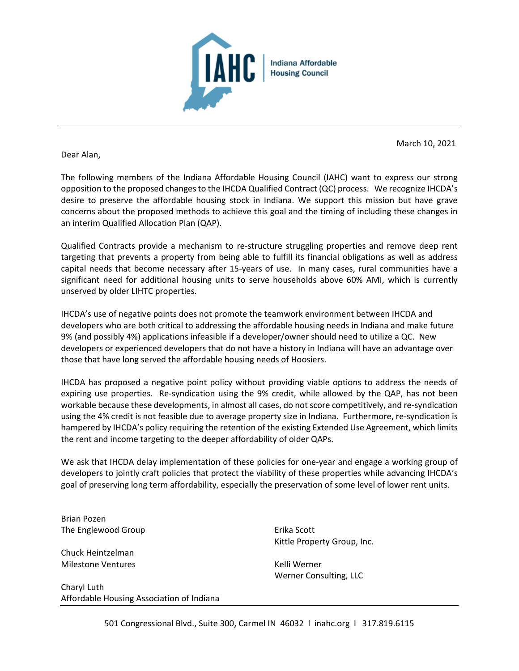

Dear Alan,

March 10, 2021

The following members of the Indiana Affordable Housing Council (IAHC) want to express our strong opposition to the proposed changes to the IHCDA Qualified Contract (QC) process. We recognize IHCDA's desire to preserve the affordable housing stock in Indiana. We support this mission but have grave concerns about the proposed methods to achieve this goal and the timing of including these changes in an interim Qualified Allocation Plan (QAP).

Qualified Contracts provide a mechanism to re-structure struggling properties and remove deep rent targeting that prevents a property from being able to fulfill its financial obligations as well as address capital needs that become necessary after 15-years of use. In many cases, rural communities have a significant need for additional housing units to serve households above 60% AMI, which is currently unserved by older LIHTC properties.

IHCDA's use of negative points does not promote the teamwork environment between IHCDA and developers who are both critical to addressing the affordable housing needs in Indiana and make future 9% (and possibly 4%) applications infeasible if a developer/owner should need to utilize a QC. New developers or experienced developers that do not have a history in Indiana will have an advantage over those that have long served the affordable housing needs of Hoosiers.

IHCDA has proposed a negative point policy without providing viable options to address the needs of expiring use properties. Re-syndication using the 9% credit, while allowed by the QAP, has not been workable because these developments, in almost all cases, do not score competitively, and re-syndication using the 4% credit is not feasible due to average property size in Indiana. Furthermore, re-syndication is hampered by IHCDA's policy requiring the retention of the existing Extended Use Agreement, which limits the rent and income targeting to the deeper affordability of older QAPs.

We ask that IHCDA delay implementation of these policies for one-year and engage a working group of developers to jointly craft policies that protect the viability of these properties while advancing IHCDA's goal of preserving long term affordability, especially the preservation of some level of lower rent units.

Brian Pozen The Englewood Group

Chuck Heintzelman Milestone Ventures

Charyl Luth Affordable Housing Association of Indiana Erika Scott Kittle Property Group, Inc.

Kelli Werner Werner Consulting, LLC